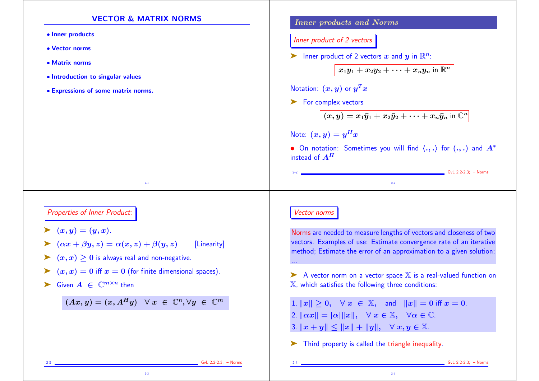## VECTOR & MATRIX NORMS • Inner products • Vector norms • Matrix norms • Introduction to singular values • Expressions of some matrix norms. 2-1 Inner products and Norms Inner product of 2 vectors ightharpoonright in  $\mathbb{R}^n$ :  $x_1y_1 + x_2y_2 + \cdots + x_ny_n$  in  $\mathbb{R}^n$ Notation:  $(\bm{x},\bm{y})$  or  $\bm{y}^T\bm{x}$ ▶ For complex vectors  $(x, y) = x_1\bar{y}_1 + x_2\bar{y}_2 + \cdots + x_n\bar{y}_n$  in  $\mathbb{C}^n$ Note:  $(x, y) = y^H x$ • On notation: Sometimes you will find  $\langle ., . \rangle$  for  $(., .)$  and  $A^*$ instead of  $A^H$ 2-2 GvL 2.2-2.3; – Norms  $2-2$ Properties of Inner Product:  $\blacktriangleright$   $(x, y) = \overline{(y, x)}$ .  $(\alpha x + \beta y, z) = \alpha(x, z) + \beta(y, z)$  [Linearity]  $\blacktriangleright$   $(x, x) \geq 0$  is always real and non-negative.  $(x, x) = 0$  iff  $x = 0$  (for finite dimensional spaces).  $\blacktriangleright$  Given  $A \in \mathbb{C}^{m \times n}$  then  $(Ax,y)=(x,A^Hy) \;\;\; \forall \; x \; \in \; \mathbb{C}^n, \forall y \; \in \; \mathbb{C}^m$ 2-3 GvL 2.2-2.3; – Norms Vector norms Norms are needed to measure lengths of vectors and closeness of two vectors. Examples of use: Estimate convergence rate of an iterative method; Estimate the error of an approximation to a given solution; ...  $\blacktriangleright$  A vector norm on a vector space  $\mathbb X$  is a real-valued function on  $X$ , which satisfies the following three conditions: 1.  $||x|| > 0$ ,  $\forall x \in \mathbb{X}$ , and  $||x|| = 0$  iff  $x = 0$ . 2.  $\|\alpha x\| = |\alpha| \|x\|, \quad \forall x \in \mathbb{X}, \quad \forall \alpha \in \mathbb{C}.$ 3.  $||x + y|| \le ||x|| + ||y||$ ,  $\forall x, y \in \mathbb{X}$ . ➤ Third property is called the triangle inequality.  $GvL$  2.2-2.3; – Norms

2-3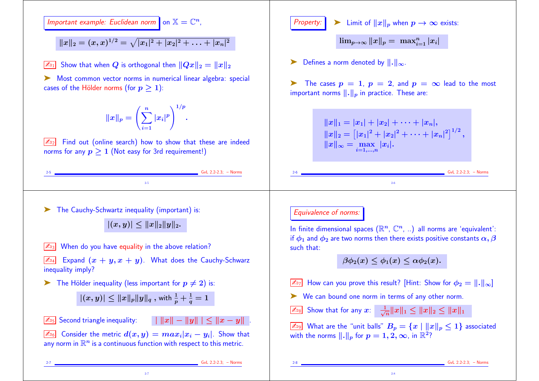Important example: Euclidean norm on  $\mathbb{X} = \mathbb{C}^n$ ,

 $||x||_2 = (x,x)^{1/2} = \sqrt{|x_1|^2 + |x_2|^2 + \ldots + |x_n|^2}$ 

 $\boxed{\mathbb{Z}_{91}}$  Show that when Q is orthogonal then  $||Qx||_2 = ||x||_2$ 

➤ Most common vector norms in numerical linear algebra: special cases of the Hölder norms (for  $p > 1$ ):

 $\sqrt{\mathbb{Z}_{D2}}$  Find out (online search) how to show that these are indeed norms for any  $p > 1$  (Not easy for 3rd requirement!)



 $|(x,y)|\leq \|x\|_p\|y\|_q \text{ , with } \frac{1}{p}+\frac{1}{q}=1$ 

 $\boxed{\mathbb{Z}_{5}}$  Second triangle inequality:  $\boxed{\Vert x \Vert - \Vert y \Vert \Vert \leq \Vert x - y \Vert}$ .

 $\boxed{\mathbb{Z}_{96}}$  Consider the metric  $d(x, y) = max_i |x_i - y_i|$ . Show that any norm in  $\mathbb{R}^n$  is a continuous function with respect to this metric.

2-7

 $\overline{\mathbb{Z}_{\scriptscriptstyle 38}}$  Show that for any  $x\colon \;\;\frac{1}{\sqrt{n}}\|x\|_1\leq \|x\|_2\leq \|x\|_1$ 

**Property:**  $\triangleright$  Limit of  $||x||_p$  when  $p \to \infty$  exists:

 $\triangleright$  Defines a norm denoted by  $\Vert . \Vert_{\infty}$ .

 $\lim_{p\to\infty} \|x\|_p = \ \max_{i=1}^n |x_i|$ 

 $\boxed{\mathbb{Z}_{99}}$  What are the "unit balls"  $B_p = \{x \mid ||x||_p \leq 1\}$  associated with the norms  $\|.\|_p$  for  $p = 1, 2, \infty$ , in  $\mathbb{R}^2$ ?

2-7 GvL 2.2-2.3; – Norms

 $GvL$  2.2-2.3; – Norms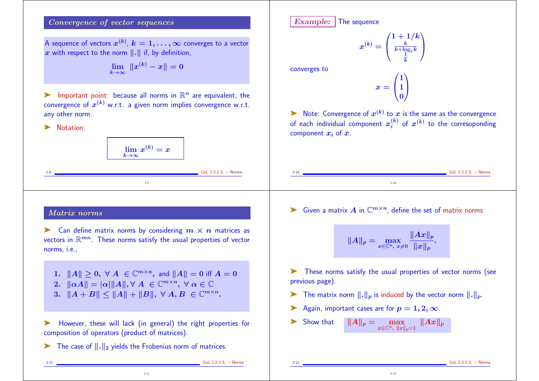## Convergence of vector sequences

A sequence of vectors  $x^{(k)}, k = 1, \ldots, \infty$  converges to a vector x with respect to the norm  $\|.\|$  if, by definition,

$$
\lim_{k\to\infty} \|x^{(k)}-x\|=0
$$

ightharpoontent point: because all norms in  $\mathbb{R}^n$  are equivalent, the convergence of  $x^{(k)}$  w.r.t. a given norm implies convergence w.r.t. any other norm.

▶ Notation:

$$
\lim_{k\to\infty}x^{(k)}=x
$$

2-9

 $GvL$  2.2-2.3; – Norms

## Matrix norms

 $\blacktriangleright$  Can define matrix norms by considering  $m \times n$  matrices as vectors in  $\mathbb{R}^{mn}$ . These norms satisfy the usual properties of vector norms, i.e.,

1.  $||A|| \geq 0$ ,  $\forall A \in \mathbb{C}^{m \times n}$ , and  $||A|| = 0$  iff  $A = 0$ 2.  $\|\alpha A\| = |\alpha| \|A\|, \forall A \in \mathbb{C}^{m \times n}, \ \forall \alpha \in \mathbb{C}$ 3.  $||A + B|| \le ||A|| + ||B||, \forall A, B \in \mathbb{C}^{m \times n}$ .

➤ However, these will lack (in general) the right properties for composition of operators (product of matrices).

2-11

 $\triangleright$  The case of  $\Vert . \Vert_2$  yields the Frobenius norm of matrices.

Example: The sequence

$$
^{(k)}=\left( \frac{1+1/k}{\frac{k}{k+\log _{2}k}}\right)
$$

 $\boldsymbol{x}$ 

converges to

 $x = \begin{pmatrix} 1 \\ 2 \end{pmatrix}$  $\left(1\right)$  $1\setminus$ 0  $\sum_{i=1}^{n}$  $\mathbf{I}$ 

 $\blacktriangleright$  Note: Convergence of  $x^{(k)}$  to  $x$  is the same as the convergence of each individual component  $x_i^{(k)}$  of  $x^{(k)}$  to the corresoponding component  $x_i$  of  $x$ .

► Given a matrix A in  $\mathbb{C}^{m \times n}$ , define the set of matrix norms

2-10

$$
\|A\|_p = \max_{x \in \mathbb{C}^n, \; x \neq 0} \frac{\|Ax\|_p}{\|x\|_p}.
$$

➤ These norms satisfy the usual properties of vector norms (see previous page).

2-12

- $\blacktriangleright$  The matrix norm  $\lVert . \rVert_p$  is induced by the vector norm  $\lVert . \rVert_p$ .
- Again, important cases are for  $p = 1, 2, \infty$ .

Show that 
$$
||A||_p = \max_{x \in \mathbb{C}^n, ||x||_p = 1} ||Ax||_p
$$

 $GvL$  2.2-2.3; – Norms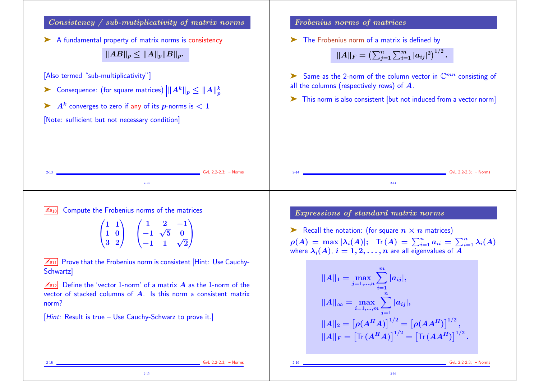

2-15 GvL 2.2-2.3; – Norms

2-16 GvL 2.2-2.3; – Norms